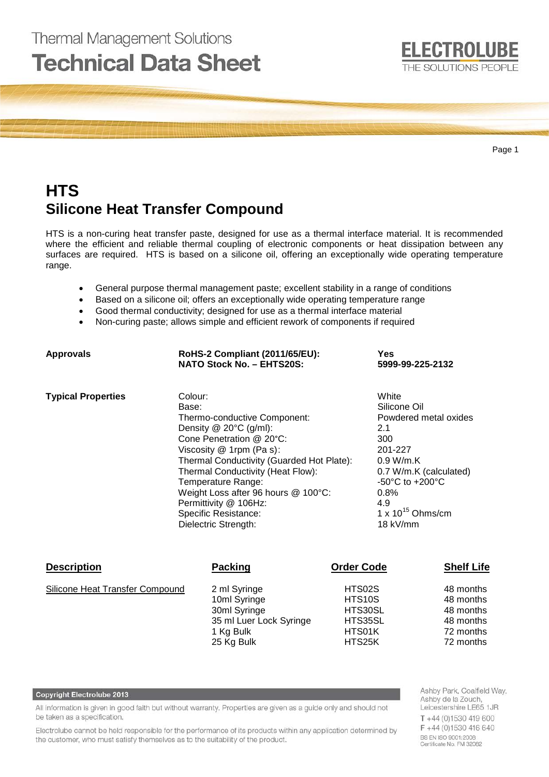# **Thermal Management Solutions Technical Data Sheet**



Page 1

# **HTS Silicone Heat Transfer Compound**

HTS is a non-curing heat transfer paste, designed for use as a thermal interface material. It is recommended where the efficient and reliable thermal coupling of electronic components or heat dissipation between any surfaces are required. HTS is based on a silicone oil, offering an exceptionally wide operating temperature range.

- General purpose thermal management paste; excellent stability in a range of conditions
- Based on a silicone oil; offers an exceptionally wide operating temperature range
- Good thermal conductivity; designed for use as a thermal interface material
- Non-curing paste; allows simple and efficient rework of components if required

| <b>Approvals</b>                       |       | RoHS-2 Compliant (2011/65/EU):<br><b>NATO Stock No. - EHTS20S:</b>                                                                                                                                                                                                                                                                                     |                                                            | Yes<br>5999-99-225-2132 |                                                                                                                                                                                                             |  |
|----------------------------------------|-------|--------------------------------------------------------------------------------------------------------------------------------------------------------------------------------------------------------------------------------------------------------------------------------------------------------------------------------------------------------|------------------------------------------------------------|-------------------------|-------------------------------------------------------------------------------------------------------------------------------------------------------------------------------------------------------------|--|
| <b>Typical Properties</b>              | Base: | Colour:<br>Thermo-conductive Component:<br>Density $@$ 20 $°C$ (g/ml):<br>Cone Penetration @ 20°C:<br>Viscosity @ 1rpm (Pa s):<br>Thermal Conductivity (Guarded Hot Plate):<br>Thermal Conductivity (Heat Flow):<br>Temperature Range:<br>Weight Loss after 96 hours @ 100°C:<br>Permittivity @ 106Hz:<br>Specific Resistance:<br>Dielectric Strength: |                                                            |                         | White<br>Silicone Oil<br>Powdered metal oxides<br>2.1<br>300<br>201-227<br>0.9 W/m.K<br>0.7 W/m.K (calculated)<br>$-50^{\circ}$ C to $+200^{\circ}$ C<br>0.8%<br>4.9<br>1 x $10^{15}$ Ohms/cm<br>$18$ kV/mm |  |
| <b>Description</b>                     |       | <b>Packing</b>                                                                                                                                                                                                                                                                                                                                         | <b>Order Code</b>                                          |                         | <b>Shelf Life</b>                                                                                                                                                                                           |  |
| <b>Silicone Heat Transfer Compound</b> |       | 2 ml Syringe<br>10ml Syringe<br>30ml Syringe<br>35 ml Luer Lock Syringe<br>1 Kg Bulk<br>25 Kg Bulk                                                                                                                                                                                                                                                     | HTS02S<br>HTS10S<br>HTS30SL<br>HTS35SL<br>HTS01K<br>HTS25K |                         | 48 months<br>48 months<br>48 months<br>48 months<br>72 months<br>72 months                                                                                                                                  |  |

#### Copyright Electrolube 2013

All information is given in good faith but without warranty. Properties are given as a guide only and should not be taken as a specification.

Electrolube cannot be held responsible for the performance of its products within any application determined by the customer, who must satisfy themselves as to the suitability of the product.

Ashby Park, Coalfield Way, Ashby de la Zouch, Leicestershire LE65 1JR T +44 (0)1530 419 600 F+44 (0)1530 416 640 BS EN ISO 9001:2008<br>Certificate No. FM 32082